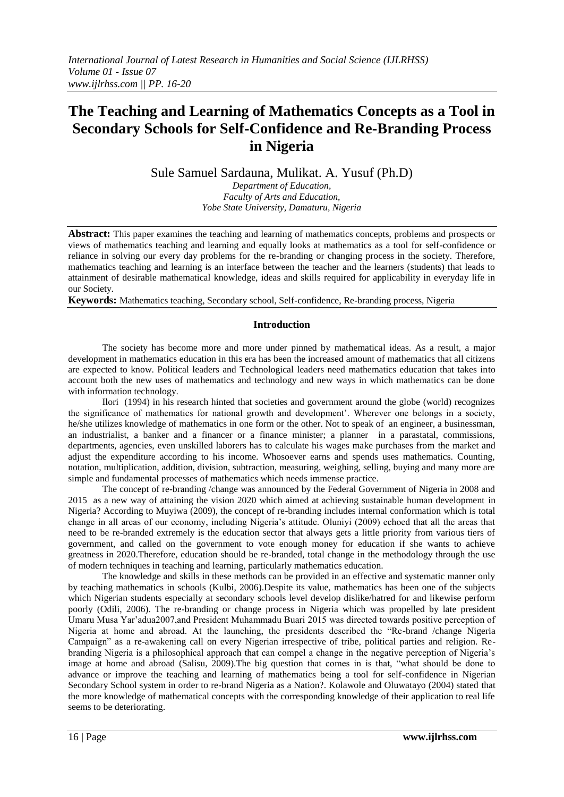# **The Teaching and Learning of Mathematics Concepts as a Tool in Secondary Schools for Self-Confidence and Re-Branding Process in Nigeria**

Sule Samuel Sardauna, Mulikat. A. Yusuf (Ph.D)

*Department of Education, Faculty of Arts and Education, Yobe State University, Damaturu, Nigeria*

**Abstract:** This paper examines the teaching and learning of mathematics concepts, problems and prospects or views of mathematics teaching and learning and equally looks at mathematics as a tool for self-confidence or reliance in solving our every day problems for the re-branding or changing process in the society. Therefore, mathematics teaching and learning is an interface between the teacher and the learners (students) that leads to attainment of desirable mathematical knowledge, ideas and skills required for applicability in everyday life in our Society.

**Keywords:** Mathematics teaching, Secondary school, Self-confidence, Re-branding process, Nigeria

### **Introduction**

The society has become more and more under pinned by mathematical ideas. As a result, a major development in mathematics education in this era has been the increased amount of mathematics that all citizens are expected to know. Political leaders and Technological leaders need mathematics education that takes into account both the new uses of mathematics and technology and new ways in which mathematics can be done with information technology.

Ilori (1994) in his research hinted that societies and government around the globe (world) recognizes the significance of mathematics for national growth and development'. Wherever one belongs in a society, he/she utilizes knowledge of mathematics in one form or the other. Not to speak of an engineer, a businessman, an industrialist, a banker and a financer or a finance minister; a planner in a parastatal, commissions, departments, agencies, even unskilled laborers has to calculate his wages make purchases from the market and adjust the expenditure according to his income. Whosoever earns and spends uses mathematics. Counting, notation, multiplication, addition, division, subtraction, measuring, weighing, selling, buying and many more are simple and fundamental processes of mathematics which needs immense practice.

The concept of re-branding /change was announced by the Federal Government of Nigeria in 2008 and 2015 as a new way of attaining the vision 2020 which aimed at achieving sustainable human development in Nigeria? According to Muyiwa (2009), the concept of re-branding includes internal conformation which is total change in all areas of our economy, including Nigeria's attitude. Oluniyi (2009) echoed that all the areas that need to be re-branded extremely is the education sector that always gets a little priority from various tiers of government, and called on the government to vote enough money for education if she wants to achieve greatness in 2020.Therefore, education should be re-branded, total change in the methodology through the use of modern techniques in teaching and learning, particularly mathematics education.

The knowledge and skills in these methods can be provided in an effective and systematic manner only by teaching mathematics in schools (Kulbi, 2006).Despite its value, mathematics has been one of the subjects which Nigerian students especially at secondary schools level develop dislike/hatred for and likewise perform poorly (Odili, 2006). The re-branding or change process in Nigeria which was propelled by late president Umaru Musa Yar'adua2007,and President Muhammadu Buari 2015 was directed towards positive perception of Nigeria at home and abroad. At the launching, the presidents described the "Re-brand /change Nigeria Campaign" as a re-awakening call on every Nigerian irrespective of tribe, political parties and religion. Rebranding Nigeria is a philosophical approach that can compel a change in the negative perception of Nigeria's image at home and abroad (Salisu, 2009).The big question that comes in is that, "what should be done to advance or improve the teaching and learning of mathematics being a tool for self-confidence in Nigerian Secondary School system in order to re-brand Nigeria as a Nation?. Kolawole and Oluwatayo (2004) stated that the more knowledge of mathematical concepts with the corresponding knowledge of their application to real life seems to be deteriorating.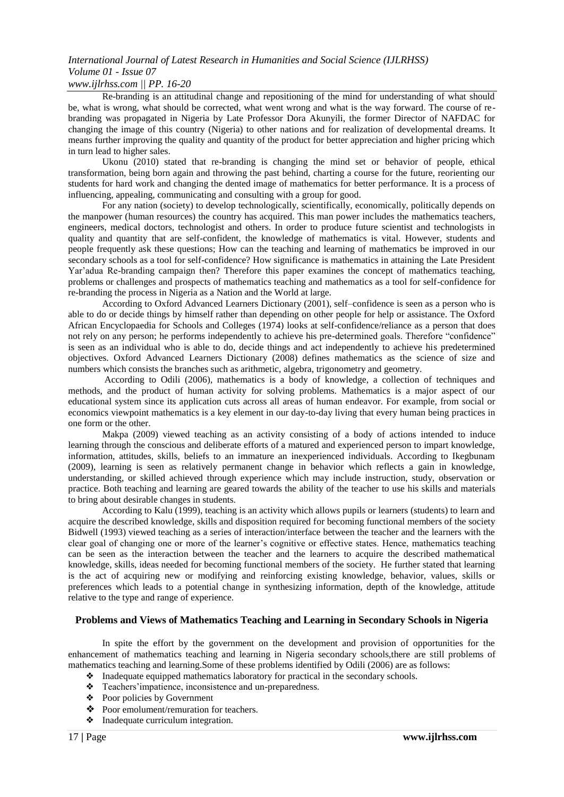# *International Journal of Latest Research in Humanities and Social Science (IJLRHSS) Volume 01 - Issue 07*

### *www.ijlrhss.com || PP. 16-20*

Re-branding is an attitudinal change and repositioning of the mind for understanding of what should be, what is wrong, what should be corrected, what went wrong and what is the way forward. The course of rebranding was propagated in Nigeria by Late Professor Dora Akunyili, the former Director of NAFDAC for changing the image of this country (Nigeria) to other nations and for realization of developmental dreams. It means further improving the quality and quantity of the product for better appreciation and higher pricing which in turn lead to higher sales.

Ukonu (2010) stated that re-branding is changing the mind set or behavior of people, ethical transformation, being born again and throwing the past behind, charting a course for the future, reorienting our students for hard work and changing the dented image of mathematics for better performance. It is a process of influencing, appealing, communicating and consulting with a group for good.

For any nation (society) to develop technologically, scientifically, economically, politically depends on the manpower (human resources) the country has acquired. This man power includes the mathematics teachers, engineers, medical doctors, technologist and others. In order to produce future scientist and technologists in quality and quantity that are self-confident, the knowledge of mathematics is vital. However, students and people frequently ask these questions; How can the teaching and learning of mathematics be improved in our secondary schools as a tool for self-confidence? How significance is mathematics in attaining the Late President Yar'adua Re-branding campaign then? Therefore this paper examines the concept of mathematics teaching, problems or challenges and prospects of mathematics teaching and mathematics as a tool for self-confidence for re-branding the process in Nigeria as a Nation and the World at large.

According to Oxford Advanced Learners Dictionary (2001), self–confidence is seen as a person who is able to do or decide things by himself rather than depending on other people for help or assistance. The Oxford African Encyclopaedia for Schools and Colleges (1974) looks at self-confidence/reliance as a person that does not rely on any person; he performs independently to achieve his pre-determined goals. Therefore "confidence" is seen as an individual who is able to do, decide things and act independently to achieve his predetermined objectives. Oxford Advanced Learners Dictionary (2008) defines mathematics as the science of size and numbers which consists the branches such as arithmetic, algebra, trigonometry and geometry.

According to Odili (2006), mathematics is a body of knowledge, a collection of techniques and methods, and the product of human activity for solving problems. Mathematics is a major aspect of our educational system since its application cuts across all areas of human endeavor. For example, from social or economics viewpoint mathematics is a key element in our day-to-day living that every human being practices in one form or the other.

Makpa (2009) viewed teaching as an activity consisting of a body of actions intended to induce learning through the conscious and deliberate efforts of a matured and experienced person to impart knowledge, information, attitudes, skills, beliefs to an immature an inexperienced individuals. According to Ikegbunam (2009), learning is seen as relatively permanent change in behavior which reflects a gain in knowledge, understanding, or skilled achieved through experience which may include instruction, study, observation or practice. Both teaching and learning are geared towards the ability of the teacher to use his skills and materials to bring about desirable changes in students.

According to Kalu (1999), teaching is an activity which allows pupils or learners (students) to learn and acquire the described knowledge, skills and disposition required for becoming functional members of the society Bidwell (1993) viewed teaching as a series of interaction/interface between the teacher and the learners with the clear goal of changing one or more of the learner's cognitive or effective states. Hence, mathematics teaching can be seen as the interaction between the teacher and the learners to acquire the described mathematical knowledge, skills, ideas needed for becoming functional members of the society. He further stated that learning is the act of acquiring new or modifying and reinforcing existing knowledge, behavior, values, skills or preferences which leads to a potential change in synthesizing information, depth of the knowledge, attitude relative to the type and range of experience.

### **Problems and Views of Mathematics Teaching and Learning in Secondary Schools in Nigeria**

In spite the effort by the government on the development and provision of opportunities for the enhancement of mathematics teaching and learning in Nigeria secondary schools,there are still problems of mathematics teaching and learning.Some of these problems identified by Odili (2006) are as follows:

- ❖ Inadequate equipped mathematics laboratory for practical in the secondary schools.
	- ❖ Teachers'impatience, inconsistence and un-preparedness.
	- ❖ Poor policies by Government
	- ❖ Poor emolument/remuration for teachers.
	- ❖ Inadequate curriculum integration.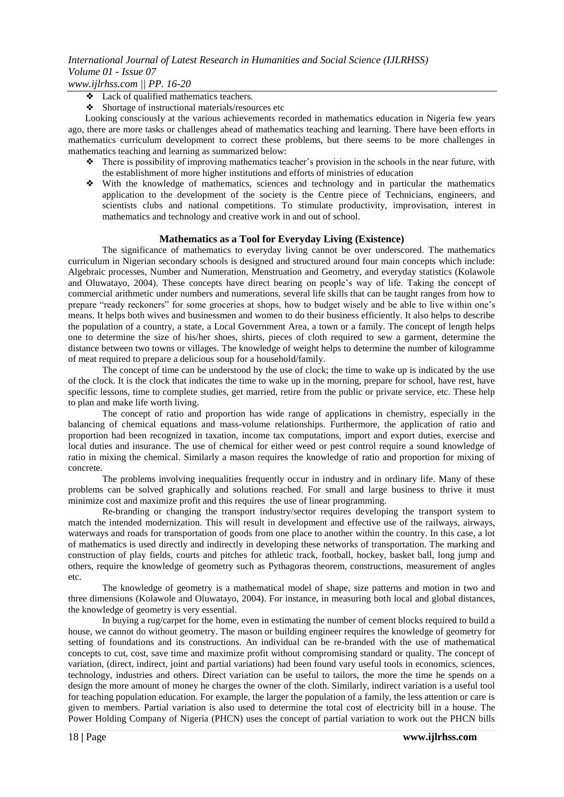- ❖ Lack of qualified mathematics teachers.
- ❖ Shortage of instructional materials/resources etc

Looking consciously at the various achievements recorded in mathematics education in Nigeria few years ago, there are more tasks or challenges ahead of mathematics teaching and learning. There have been efforts in mathematics curriculum development to correct these problems, but there seems to be more challenges in mathematics teaching and learning as summarized below:

- ❖ There is possibility of improving mathematics teacher's provision in the schools in the near future, with the establishment of more higher institutions and efforts of ministries of education
- ❖ With the knowledge of mathematics, sciences and technology and in particular the mathematics application to the development of the society is the Centre piece of Technicians, engineers, and scientists clubs and national competitions. To stimulate productivity, improvisation, interest in mathematics and technology and creative work in and out of school.

### **Mathematics as a Tool for Everyday Living (Existence)**

The significance of mathematics to everyday living cannot be over underscored. The mathematics curriculum in Nigerian secondary schools is designed and structured around four main concepts which include: Algebraic processes, Number and Numeration, Menstruation and Geometry, and everyday statistics (Kolawole and Oluwatayo, 2004). These concepts have direct bearing on people's way of life. Taking the concept of commercial arithmetic under numbers and numerations, several life skills that can be taught ranges from how to prepare "ready reckoners" for some groceries at shops, how to budget wisely and be able to live within one's means. It helps both wives and businessmen and women to do their business efficiently. It also helps to describe the population of a country, a state, a Local Government Area, a town or a family. The concept of length helps one to determine the size of his/her shoes, shirts, pieces of cloth required to sew a garment, determine the distance between two towns or villages. The knowledge of weight helps to determine the number of kilogramme of meat required to prepare a delicious soup for a household/family.

The concept of time can be understood by the use of clock; the time to wake up is indicated by the use of the clock. It is the clock that indicates the time to wake up in the morning, prepare for school, have rest, have specific lessons, time to complete studies, get married, retire from the public or private service, etc. These help to plan and make life worth living.

The concept of ratio and proportion has wide range of applications in chemistry, especially in the balancing of chemical equations and mass-volume relationships. Furthermore, the application of ratio and proportion had been recognized in taxation, income tax computations, import and export duties, exercise and local duties and insurance. The use of chemical for either weed or pest control require a sound knowledge of ratio in mixing the chemical. Similarly a mason requires the knowledge of ratio and proportion for mixing of concrete.

The problems involving inequalities frequently occur in industry and in ordinary life. Many of these problems can be solved graphically and solutions reached. For small and large business to thrive it must minimize cost and maximize profit and this requires the use of linear programming.

Re-branding or changing the transport industry/sector requires developing the transport system to match the intended modernization. This will result in development and effective use of the railways, airways, waterways and roads for transportation of goods from one place to another within the country. In this case, a lot of mathematics is used directly and indirectly in developing these networks of transportation. The marking and construction of play fields, courts and pitches for athletic track, football, hockey, basket ball, long jump and others, require the knowledge of geometry such as Pythagoras theorem, constructions, measurement of angles etc.

The knowledge of geometry is a mathematical model of shape, size patterns and motion in two and three dimensions (Kolawole and Oluwatayo, 2004). For instance, in measuring both local and global distances, the knowledge of geometry is very essential.

In buying a rug/carpet for the home, even in estimating the number of cement blocks required to build a house, we cannot do without geometry. The mason or building engineer requires the knowledge of geometry for setting of foundations and its constructions. An individual can be re-branded with the use of mathematical concepts to cut, cost, save time and maximize profit without compromising standard or quality. The concept of variation, (direct, indirect, joint and partial variations) had been found vary useful tools in economics, sciences, technology, industries and others. Direct variation can be useful to tailors, the more the time he spends on a design the more amount of money he charges the owner of the cloth. Similarly, indirect variation is a useful tool for teaching population education. For example, the larger the population of a family, the less attention or care is given to members. Partial variation is also used to determine the total cost of electricity bill in a house. The Power Holding Company of Nigeria (PHCN) uses the concept of partial variation to work out the PHCN bills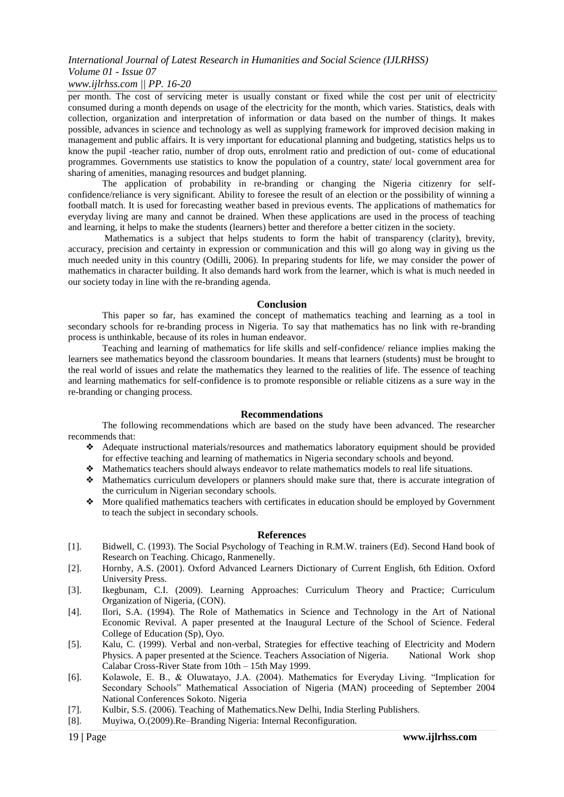### *International Journal of Latest Research in Humanities and Social Science (IJLRHSS) Volume 01 - Issue 07*

### *www.ijlrhss.com || PP. 16-20*

per month. The cost of servicing meter is usually constant or fixed while the cost per unit of electricity consumed during a month depends on usage of the electricity for the month, which varies. Statistics, deals with collection, organization and interpretation of information or data based on the number of things. It makes possible, advances in science and technology as well as supplying framework for improved decision making in management and public affairs. It is very important for educational planning and budgeting, statistics helps us to know the pupil -teacher ratio, number of drop outs, enrolment ratio and prediction of out- come of educational programmes. Governments use statistics to know the population of a country, state/ local government area for sharing of amenities, managing resources and budget planning.

The application of probability in re-branding or changing the Nigeria citizenry for selfconfidence/reliance is very significant. Ability to foresee the result of an election or the possibility of winning a football match. It is used for forecasting weather based in previous events. The applications of mathematics for everyday living are many and cannot be drained. When these applications are used in the process of teaching and learning, it helps to make the students (learners) better and therefore a better citizen in the society.

Mathematics is a subject that helps students to form the habit of transparency (clarity), brevity, accuracy, precision and certainty in expression or communication and this will go along way in giving us the much needed unity in this country (Odilli, 2006). In preparing students for life, we may consider the power of mathematics in character building. It also demands hard work from the learner, which is what is much needed in our society today in line with the re-branding agenda.

#### **Conclusion**

This paper so far, has examined the concept of mathematics teaching and learning as a tool in secondary schools for re-branding process in Nigeria. To say that mathematics has no link with re-branding process is unthinkable, because of its roles in human endeavor.

Teaching and learning of mathematics for life skills and self-confidence/ reliance implies making the learners see mathematics beyond the classroom boundaries. It means that learners (students) must be brought to the real world of issues and relate the mathematics they learned to the realities of life. The essence of teaching and learning mathematics for self-confidence is to promote responsible or reliable citizens as a sure way in the re-branding or changing process.

### **Recommendations**

The following recommendations which are based on the study have been advanced. The researcher recommends that:

- ❖ Adequate instructional materials/resources and mathematics laboratory equipment should be provided for effective teaching and learning of mathematics in Nigeria secondary schools and beyond.
- ❖ Mathematics teachers should always endeavor to relate mathematics models to real life situations.
- ❖ Mathematics curriculum developers or planners should make sure that, there is accurate integration of the curriculum in Nigerian secondary schools.
- ❖ More qualified mathematics teachers with certificates in education should be employed by Government to teach the subject in secondary schools.

### **References**

- [1]. Bidwell, C. (1993). The Social Psychology of Teaching in R.M.W. trainers (Ed). Second Hand book of Research on Teaching. Chicago, Ranmenelly.
- [2]. Hornby, A.S. (2001). Oxford Advanced Learners Dictionary of Current English, 6th Edition. Oxford University Press.
- [3]. Ikegbunam, C.I. (2009). Learning Approaches: Curriculum Theory and Practice; Curriculum Organization of Nigeria, (CON).
- [4]. Ilori, S.A. (1994). The Role of Mathematics in Science and Technology in the Art of National Economic Revival. A paper presented at the Inaugural Lecture of the School of Science. Federal College of Education (Sp), Oyo.
- [5]. Kalu, C. (1999). Verbal and non-verbal, Strategies for effective teaching of Electricity and Modern Physics. A paper presented at the Science. Teachers Association of Nigeria. National Work shop Calabar Cross-River State from 10th – 15th May 1999.
- [6]. Kolawole, E. B., & Oluwatayo, J.A. (2004). Mathematics for Everyday Living. "Implication for Secondary Schools" Mathematical Association of Nigeria (MAN) proceeding of September 2004 National Conferences Sokoto. Nigeria
- [7]. Kulbir, S.S. (2006). Teaching of Mathematics.New Delhi, India Sterling Publishers.
- [8]. Muyiwa, O.(2009).Re–Branding Nigeria: Internal Reconfiguration.